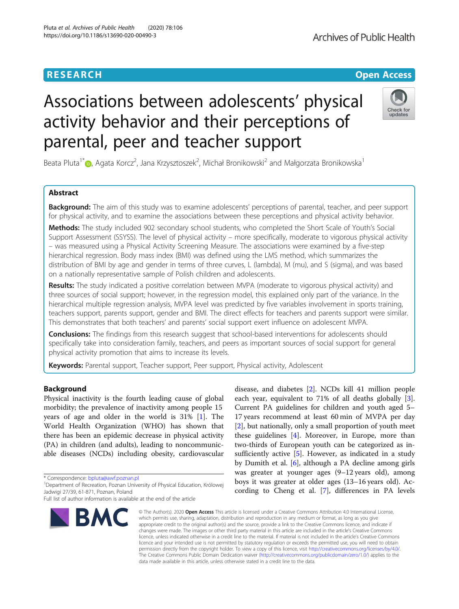# **RESEARCH CHE Open Access**

# Associations between adolescents' physical activity behavior and their perceptions of parental, peer and teacher support

Beata Pluta $^1$  (d)[,](http://orcid.org/0000-0002-1964-7408) Agata Korcz $^2$ , Jana Krzysztoszek $^2$ , Michał Bronikowski $^2$  and Małgorzata Bronikowska $^1$ 

## Abstract

**Background:** The aim of this study was to examine adolescents' perceptions of parental, teacher, and peer support for physical activity, and to examine the associations between these perceptions and physical activity behavior.

Methods: The study included 902 secondary school students, who completed the Short Scale of Youth's Social Support Assessment (SSYSS). The level of physical activity – more specifically, moderate to vigorous physical activity – was measured using a Physical Activity Screening Measure. The associations were examined by a five-step hierarchical regression. Body mass index (BMI) was defined using the LMS method, which summarizes the distribution of BMI by age and gender in terms of three curves, L (lambda), M (mu), and S (sigma), and was based on a nationally representative sample of Polish children and adolescents.

Results: The study indicated a positive correlation between MVPA (moderate to vigorous physical activity) and three sources of social support; however, in the regression model, this explained only part of the variance. In the hierarchical multiple regression analysis, MVPA level was predicted by five variables involvement in sports training, teachers support, parents support, gender and BMI. The direct effects for teachers and parents support were similar. This demonstrates that both teachers' and parents' social support exert influence on adolescent MVPA.

**Conclusions:** The findings from this research suggest that school-based interventions for adolescents should specifically take into consideration family, teachers, and peers as important sources of social support for general physical activity promotion that aims to increase its levels.

Keywords: Parental support, Teacher support, Peer support, Physical activity, Adolescent

## Background

Physical inactivity is the fourth leading cause of global morbidity; the prevalence of inactivity among people 15 years of age and older in the world is 31% [[1\]](#page-6-0). The World Health Organization (WHO) has shown that there has been an epidemic decrease in physical activity (PA) in children (and adults), leading to noncommunicable diseases (NCDs) including obesity, cardiovascular

\* Correspondence: [bpluta@awf.poznan.pl](mailto:bpluta@awf.poznan.pl) <sup>1</sup>

cording to Cheng et al. [[7\]](#page-6-0), differences in PA levels © The Author(s), 2020 **Open Access** This article is licensed under a Creative Commons Attribution 4.0 International License, BMC which permits use, sharing, adaptation, distribution and reproduction in any medium or format, as long as you give appropriate credit to the original author(s) and the source, provide a link to the Creative Commons licence, and indicate if changes were made. The images or other third party material in this article are included in the article's Creative Commons licence, unless indicated otherwise in a credit line to the material. If material is not included in the article's Creative Commons

data made available in this article, unless otherwise stated in a credit line to the data.

licence and your intended use is not permitted by statutory regulation or exceeds the permitted use, you will need to obtain permission directly from the copyright holder. To view a copy of this licence, visit [http://creativecommons.org/licenses/by/4.0/.](http://creativecommons.org/licenses/by/4.0/) The Creative Commons Public Domain Dedication waiver [\(http://creativecommons.org/publicdomain/zero/1.0/](http://creativecommons.org/publicdomain/zero/1.0/)) applies to the



disease, and diabetes [\[2\]](#page-6-0). NCDs kill 41 million people each year, equivalent to 71% of all deaths globally [\[3](#page-6-0)]. Current PA guidelines for children and youth aged 5– 17 years recommend at least 60 min of MVPA per day [[2\]](#page-6-0), but nationally, only a small proportion of youth meet these guidelines [[4](#page-6-0)]. Moreover, in Europe, more than two-thirds of European youth can be categorized as in-sufficiently active [\[5](#page-6-0)]. However, as indicated in a study by Dumith et al. [\[6](#page-6-0)], although a PA decline among girls was greater at younger ages (9–12 years old), among boys it was greater at older ages (13–16 years old). Ac-





<sup>&</sup>lt;sup>1</sup> Department of Recreation, Poznan University of Physical Education, Królowej Jadwigi 27/39, 61-871, Poznan, Poland

Full list of author information is available at the end of the article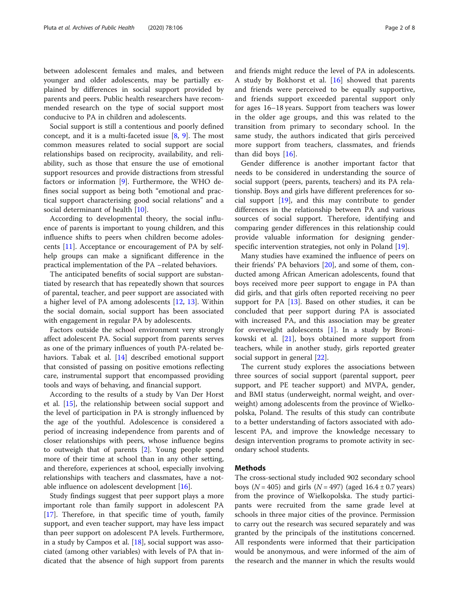between adolescent females and males, and between younger and older adolescents, may be partially explained by differences in social support provided by parents and peers. Public health researchers have recommended research on the type of social support most conducive to PA in children and adolescents.

Social support is still a contentious and poorly defined concept, and it is a multi-faceted issue [[8,](#page-6-0) [9](#page-6-0)]. The most common measures related to social support are social relationships based on reciprocity, availability, and reliability, such as those that ensure the use of emotional support resources and provide distractions from stressful factors or information [[9](#page-6-0)]. Furthermore, the WHO defines social support as being both "emotional and practical support characterising good social relations" and a social determinant of health [[10](#page-6-0)].

According to developmental theory, the social influence of parents is important to young children, and this influence shifts to peers when children become adolescents [[11](#page-6-0)]. Acceptance or encouragement of PA by selfhelp groups can make a significant difference in the practical implementation of the PA –related behaviors.

The anticipated benefits of social support are substantiated by research that has repeatedly shown that sources of parental, teacher, and peer support are associated with a higher level of PA among adolescents [[12](#page-6-0), [13\]](#page-6-0). Within the social domain, social support has been associated with engagement in regular PA by adolescents.

Factors outside the school environment very strongly affect adolescent PA. Social support from parents serves as one of the primary influences of youth PA-related behaviors. Tabak et al. [\[14](#page-6-0)] described emotional support that consisted of passing on positive emotions reflecting care, instrumental support that encompassed providing tools and ways of behaving, and financial support.

According to the results of a study by Van Der Horst et al. [\[15](#page-6-0)], the relationship between social support and the level of participation in PA is strongly influenced by the age of the youthful. Adolescence is considered a period of increasing independence from parents and of closer relationships with peers, whose influence begins to outweigh that of parents [[2](#page-6-0)]. Young people spend more of their time at school than in any other setting, and therefore, experiences at school, especially involving relationships with teachers and classmates, have a notable influence on adolescent development [\[16](#page-6-0)].

Study findings suggest that peer support plays a more important role than family support in adolescent PA [[17\]](#page-6-0). Therefore, in that specific time of youth, family support, and even teacher support, may have less impact than peer support on adolescent PA levels. Furthermore, in a study by Campos et al. [[18\]](#page-6-0), social support was associated (among other variables) with levels of PA that indicated that the absence of high support from parents and friends might reduce the level of PA in adolescents. A study by Bokhorst et al.  $[16]$  $[16]$  showed that parents and friends were perceived to be equally supportive, and friends support exceeded parental support only for ages 16–18 years. Support from teachers was lower in the older age groups, and this was related to the transition from primary to secondary school. In the same study, the authors indicated that girls perceived more support from teachers, classmates, and friends than did boys [\[16](#page-6-0)].

Gender difference is another important factor that needs to be considered in understanding the source of social support (peers, parents, teachers) and its PA relationship. Boys and girls have different preferences for social support [[19](#page-6-0)], and this may contribute to gender differences in the relationship between PA and various sources of social support. Therefore, identifying and comparing gender differences in this relationship could provide valuable information for designing gender-specific intervention strategies, not only in Poland [[19\]](#page-6-0).

Many studies have examined the influence of peers on their friends' PA behaviors [\[20\]](#page-6-0), and some of them, conducted among African American adolescents, found that boys received more peer support to engage in PA than did girls, and that girls often reported receiving no peer support for PA [[13\]](#page-6-0). Based on other studies, it can be concluded that peer support during PA is associated with increased PA, and this association may be greater for overweight adolescents [\[1](#page-6-0)]. In a study by Bronikowski et al. [\[21](#page-6-0)], boys obtained more support from teachers, while in another study, girls reported greater social support in general [\[22](#page-6-0)].

The current study explores the associations between three sources of social support (parental support, peer support, and PE teacher support) and MVPA, gender, and BMI status (underweight, normal weight, and overweight) among adolescents from the province of Wielkopolska, Poland. The results of this study can contribute to a better understanding of factors associated with adolescent PA, and improve the knowledge necessary to design intervention programs to promote activity in secondary school students.

#### Methods

The cross-sectional study included 902 secondary school boys ( $N = 405$ ) and girls ( $N = 497$ ) (aged 16.4 ± 0.7 years) from the province of Wielkopolska. The study participants were recruited from the same grade level at schools in three major cities of the province. Permission to carry out the research was secured separately and was granted by the principals of the institutions concerned. All respondents were informed that their participation would be anonymous, and were informed of the aim of the research and the manner in which the results would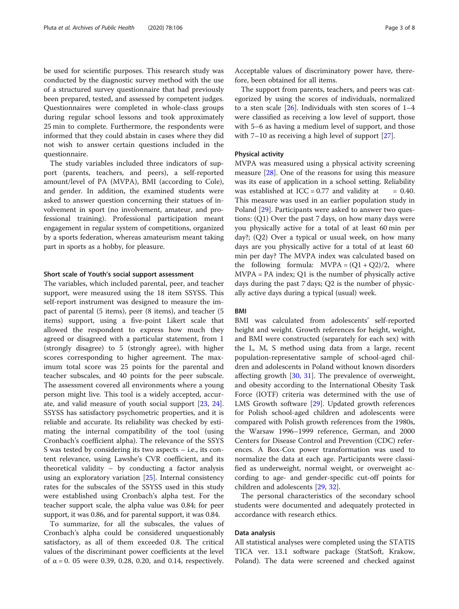be used for scientific purposes. This research study was conducted by the diagnostic survey method with the use of a structured survey questionnaire that had previously been prepared, tested, and assessed by competent judges. Questionnaires were completed in whole-class groups during regular school lessons and took approximately 25 min to complete. Furthermore, the respondents were informed that they could abstain in cases where they did not wish to answer certain questions included in the questionnaire.

The study variables included three indicators of support (parents, teachers, and peers), a self-reported amount/level of PA (MVPA), BMI (according to Cole), and gender. In addition, the examined students were asked to answer question concerning their statues of involvement in sport (no involvement, amateur, and professional training). Professional participation meant engagement in regular system of competitions, organized by a sports federation, whereas amateurism meant taking part in sports as a hobby, for pleasure.

#### Short scale of Youth's social support assessment

The variables, which included parental, peer, and teacher support, were measured using the 18 item SSYSS. This self-report instrument was designed to measure the impact of parental (5 items), peer (8 items), and teacher (5 items) support, using a five-point Likert scale that allowed the respondent to express how much they agreed or disagreed with a particular statement, from 1 (strongly disagree) to 5 (strongly agree), with higher scores corresponding to higher agreement. The maximum total score was 25 points for the parental and teacher subscales, and 40 points for the peer subscale. The assessment covered all environments where a young person might live. This tool is a widely accepted, accurate, and valid measure of youth social support [\[23](#page-6-0), [24](#page-6-0)]. SSYSS has satisfactory psychometric properties, and it is reliable and accurate. Its reliability was checked by estimating the internal compatibility of the tool (using Cronbach's coefficient alpha). The relevance of the SSYS S was tested by considering its two aspects – i.e., its content relevance, using Lawshe's CVR coefficient, and its theoretical validity – by conducting a factor analysis using an exploratory variation [[25\]](#page-6-0). Internal consistency rates for the subscales of the SSYSS used in this study were established using Cronbach's alpha test. For the teacher support scale, the alpha value was 0.84; for peer support, it was 0.86, and for parental support, it was 0.84.

To summarize, for all the subscales, the values of Cronbach's alpha could be considered unquestionably satisfactory, as all of them exceeded 0.8. The critical values of the discriminant power coefficients at the level of  $α = 0$ . 05 were 0.39, 0.28, 0.20, and 0.14, respectively.

Acceptable values of discriminatory power have, therefore, been obtained for all items.

The support from parents, teachers, and peers was categorized by using the scores of individuals, normalized to a sten scale  $[26]$ . Individuals with sten scores of  $1-4$ were classified as receiving a low level of support, those with 5–6 as having a medium level of support, and those with 7–10 as receiving a high level of support [[27\]](#page-6-0).

## Physical activity

MVPA was measured using a physical activity screening measure [\[28](#page-6-0)]. One of the reasons for using this measure was its ease of application in a school setting. Reliability was established at  $ICC = 0.77$  and validity at  $= 0.40$ . This measure was used in an earlier population study in Poland [[29\]](#page-6-0). Participants were asked to answer two questions: (Q1) Over the past 7 days, on how many days were you physically active for a total of at least 60 min per day?; (Q2) Over a typical or usual week, on how many days are you physically active for a total of at least 60 min per day? The MVPA index was calculated based on the following formula:  $MVPA = (Q1 + Q2)/2$ , where  $MVPA = PA$  index; Q1 is the number of physically active days during the past 7 days; Q2 is the number of physically active days during a typical (usual) week.

## BMI

BMI was calculated from adolescents' self-reported height and weight. Growth references for height, weight, and BMI were constructed (separately for each sex) with the L, M, S method using data from a large, recent population-representative sample of school-aged children and adolescents in Poland without known disorders affecting growth [[30,](#page-6-0) [31](#page-6-0)]. The prevalence of overweight, and obesity according to the International Obesity Task Force (IOTF) criteria was determined with the use of LMS Growth software [[29\]](#page-6-0). Updated growth references for Polish school-aged children and adolescents were compared with Polish growth references from the 1980s, the Warsaw 1996–1999 reference, German, and 2000 Centers for Disease Control and Prevention (CDC) references. A Box-Cox power transformation was used to normalize the data at each age. Participants were classified as underweight, normal weight, or overweight according to age- and gender-specific cut-off points for children and adolescents [[29,](#page-6-0) [32\]](#page-6-0).

The personal characteristics of the secondary school students were documented and adequately protected in accordance with research ethics.

## Data analysis

All statistical analyses were completed using the STATIS TICA ver. 13.1 software package (StatSoft, Krakow, Poland). The data were screened and checked against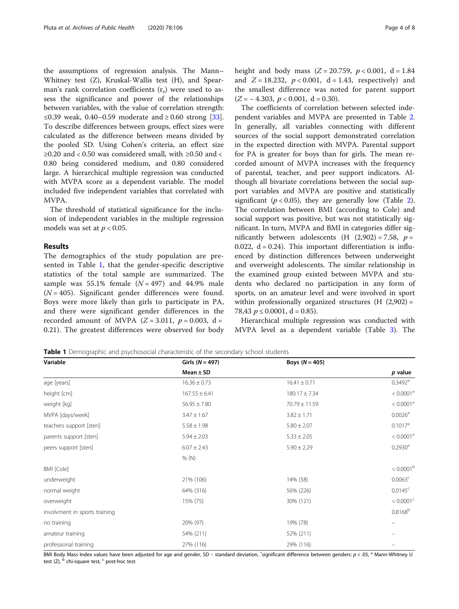the assumptions of regression analysis. The Mann– Whitney test (Z), Kruskal-Wallis test (H), and Spearman's rank correlation coefficients  $(r<sub>s</sub>)$  were used to assess the significance and power of the relationships between variables, with the value of correlation strength: ≤0.39 weak, 0.40–0.59 moderate and ≥ 0.60 strong [\[33](#page-6-0)]. To describe differences between groups, effect sizes were calculated as the difference between means divided by the pooled SD. Using Cohen's criteria, an effect size ≥0.20 and < 0.50 was considered small, with ≥0.50 and < 0.80 being considered medium, and 0.80 considered large. A hierarchical multiple regression was conducted with MVPA score as a dependent variable. The model included five independent variables that correlated with MVPA.

The threshold of statistical significance for the inclusion of independent variables in the multiple regression models was set at  $p < 0.05$ .

## Results

The demographics of the study population are presented in Table 1, that the gender-specific descriptive statistics of the total sample are summarized. The sample was  $55.1\%$  female ( $N = 497$ ) and  $44.9\%$  male  $(N = 405)$ . Significant gender differences were found. Boys were more likely than girls to participate in PA, and there were significant gender differences in the recorded amount of MVPA  $(Z = 3.011, p = 0.003, d =$ 0.21). The greatest differences were observed for body height and body mass  $(Z = 20.759, p < 0.001, d = 1.84$ and  $Z = 18.232$ ,  $p < 0.001$ ,  $d = 1.43$ , respectively) and the smallest difference was noted for parent support  $(Z = -4.303, p < 0.001, d = 0.30).$ 

The coefficients of correlation between selected independent variables and MVPA are presented in Table [2](#page-4-0). In generally, all variables connecting with different sources of the social support demonstrated correlation in the expected direction with MVPA. Parental support for PA is greater for boys than for girls. The mean recorded amount of MVPA increases with the frequency of parental, teacher, and peer support indicators. Although all bivariate correlations between the social support variables and MVPA are positive and statistically significant ( $p < 0.05$ ), they are generally low (Table [2](#page-4-0)). The correlation between BMI (according to Cole) and social support was positive, but was not statistically significant. In turn, MVPA and BMI in categories differ significantly between adolescents  $(H (2,902) = 7.58, p =$ 0.022,  $d = 0.24$ ). This important differentiation is influenced by distinction differences between underweight and overweight adolescents. The similar relationship in the examined group existed between MVPA and students who declared no participation in any form of sports, on an amateur level and were involved in sport within professionally organized structures  $(H (2,902) =$ 78,43  $p \le 0.0001$ , d = 0.85).

Hierarchical multiple regression was conducted with MVPA level as a dependent variable (Table [3](#page-4-0)). The

Table 1 Demographic and psychosocial characteristic of the secondary school students

| Variable                      | Girls ( $N = 497$ ) | Boys $(N = 405)$  |                         |  |
|-------------------------------|---------------------|-------------------|-------------------------|--|
|                               | Mean $\pm$ SD       |                   | $p$ value               |  |
| age [years]                   | $16.36 \pm 0.73$    | $16.41 \pm 0.71$  | $0.3492$ <sup>a</sup>   |  |
| height [cm]                   | $167.55 \pm 6.41$   | $180.17 \pm 7.34$ | < 0.0001 <sup>a</sup>   |  |
| weight [kg]                   | $56.95 \pm 7.80$    | $70.79 \pm 11.59$ | < 0.0001 <sup>a</sup>   |  |
| MVPA [days/week]              | $3.47 \pm 1.67$     | $3.82 \pm 1.71$   | 0.0026 <sup>a</sup>     |  |
| teachers support [sten]       | $5.58 \pm 1.98$     | $5.80 \pm 2.07$   | $0.1017^a$              |  |
| parents support [sten]        | $5.94 \pm 2.03$     | $5.33 \pm 2.05$   | < 0.0001 <sup>a</sup>   |  |
| peers support [sten]          | $6.07 \pm 2.43$     | $5.90 \pm 2.29$   | $0.2930^{\rm a}$        |  |
|                               | % (N)               |                   |                         |  |
| BMI [Cole]                    |                     |                   | $< 0.0001^{\rm b}$      |  |
| underweight                   | 21% (106)           | 14% (58)          | 0.0063 <sup>c</sup>     |  |
| normal weight                 | 64% (316)           | 56% (226)         | $0.0145^{\circ}$        |  |
| overweight                    | 15% (75)            | 30% (121)         | $< 0.0001$ <sup>c</sup> |  |
| involvment in sports training |                     |                   | $0.8168^{b}$            |  |
| no training                   | 20% (97)            | 19% (78)          |                         |  |
| amateur training              | 54% (211)           | 52% (211)         |                         |  |
| professional training         | 27% (116)           | 29% (116)         |                         |  |

BMI Body Mass Index values have been adjusted for age and gender, SD – standard deviation, \*significant difference between genders:  $p < .05$ , <sup>a</sup> Mann-Whitney U test  $(Z)$ ,  $^{\rm b}$  chi-square test,  $^{\rm c}$  post-hoc test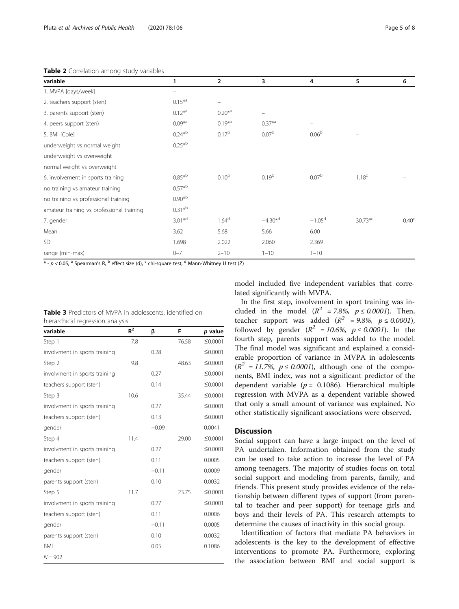| variable                                  | 1                        | $\overline{2}$    | 3                        | 4                 | 5                 | 6                 |
|-------------------------------------------|--------------------------|-------------------|--------------------------|-------------------|-------------------|-------------------|
| 1. MVPA [days/week]                       | $\overline{\phantom{0}}$ |                   |                          |                   |                   |                   |
| 2. teachers support (sten)                | $0.15^{*a}$              | -                 |                          |                   |                   |                   |
| 3. parents support (sten)                 | $0.12^{*a}$              | $0.20^{*a}$       | $\overline{\phantom{m}}$ |                   |                   |                   |
| 4. peers support (sten)                   | $0.09*$ <sup>a</sup>     | $0.19^{*a}$       | $0.37^{*a}$              |                   |                   |                   |
| 5. BMI [Cole]                             | $0.24*^{b}$              | 0.17 <sup>b</sup> | 0.07 <sup>b</sup>        | 0.06 <sup>b</sup> |                   |                   |
| underweight vs normal weight              | $0.25*^{b}$              |                   |                          |                   |                   |                   |
| underweight vs overweight                 |                          |                   |                          |                   |                   |                   |
| normal weight vs overweight               |                          |                   |                          |                   |                   |                   |
| 6. involvement in sports training         | $0.85*^{b}$              | $0.10^{b}$        | $0.19^{b}$               | 0.07 <sup>b</sup> | 1.18 <sup>c</sup> |                   |
| no training vs amateur training           | $0.57*^{b}$              |                   |                          |                   |                   |                   |
| no training vs professional training      | $0.90*^{b}$              |                   |                          |                   |                   |                   |
| amateur training vs professional training | $0.31*^{b}$              |                   |                          |                   |                   |                   |
| 7. gender                                 | $3.01*^{d}$              | $1.64^d$          | $-4.30*^{d}$             | $-1.05d$          | $30.73*^{c}$      | 0.40 <sup>c</sup> |
| Mean                                      | 3.62                     | 5.68              | 5.66                     | 6.00              |                   |                   |
| <b>SD</b>                                 | 1.698                    | 2.022             | 2.060                    | 2.369             |                   |                   |
| range (min-max)                           | $0 - 7$                  | $2 - 10$          | $1 - 10$                 | $1 - 10$          |                   |                   |

<span id="page-4-0"></span>Table 2 Correlation among study variables

 $*$  -  $p$  < 0.05, <sup>a</sup> Spearman's R, <sup>b</sup> effect size (d), <sup>c</sup> chi-square test, <sup>d</sup> Mann-Whitney U test (Z)

|                                  | <b>Table 3</b> Predictors of MVPA in adolescents, identified on |
|----------------------------------|-----------------------------------------------------------------|
| hierarchical regression analysis |                                                                 |

| variable                      | $R^2$ | ß       | F     | p value |
|-------------------------------|-------|---------|-------|---------|
| Step 1                        | 7.8   |         | 76.58 | ≤0.0001 |
| involvment in sports training |       | 0.28    |       | ≤0.0001 |
| Step 2                        | 9.8   |         | 48.63 | ≤0.0001 |
| involvment in sports training |       | 0.27    |       | ≤0.0001 |
| teachers support (sten)       |       | 0.14    |       | ≤0.0001 |
| Step 3                        | 10.6  |         | 35.44 | ≤0.0001 |
| involvment in sports training |       | 0.27    |       | ≤0.0001 |
| teachers support (sten)       |       | 0.13    |       | ≤0.0001 |
| gender                        |       | $-0.09$ |       | 0.0041  |
| Step 4                        | 11.4  |         | 29.00 | ≤0.0001 |
| involvment in sports training |       | 0.27    |       | ≤0.0001 |
| teachers support (sten)       |       | 0.11    |       | 0.0005  |
| gender                        |       | $-0.11$ |       | 0.0009  |
| parents support (sten)        |       | 0.10    |       | 0.0032  |
| Step 5                        | 11.7  |         | 23.75 | ≤0.0001 |
| involvment in sports training |       | 0.27    |       | ≤0.0001 |
| teachers support (sten)       |       | 0.11    |       | 0.0006  |
| gender                        |       | $-0.11$ |       | 0.0005  |
| parents support (sten)        |       | 0.10    |       | 0.0032  |
| <b>BMI</b>                    |       | 0.05    |       | 0.1086  |
| $N = 902$                     |       |         |       |         |

model included five independent variables that correlated significantly with MVPA.

In the first step, involvement in sport training was included in the model  $(R^2 = 7.8\%, p \le 0.0001)$ . Then, teacher support was added  $(R^2 = 9.8\%, p \le 0.0001)$ , followed by gender  $(R^2 = 10.6\%$ ,  $p \le 0.0001$ ). In the fourth step, parents support was added to the model. The final model was significant and explained a considerable proportion of variance in MVPA in adolescents  $(R^2 = 11.7\%, p \le 0.0001)$ , although one of the components, BMI index, was not a significant predictor of the dependent variable ( $p = 0.1086$ ). Hierarchical multiple regression with MVPA as a dependent variable showed that only a small amount of variance was explained. No other statistically significant associations were observed.

## **Discussion**

Social support can have a large impact on the level of PA undertaken. Information obtained from the study can be used to take action to increase the level of PA among teenagers. The majority of studies focus on total social support and modeling from parents, family, and friends. This present study provides evidence of the relationship between different types of support (from parental to teacher and peer support) for teenage girls and boys and their levels of PA. This research attempts to determine the causes of inactivity in this social group.

Identification of factors that mediate PA behaviors in adolescents is the key to the development of effective interventions to promote PA. Furthermore, exploring the association between BMI and social support is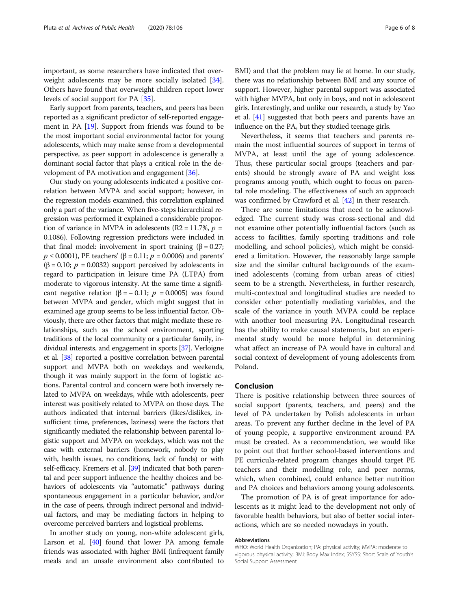important, as some researchers have indicated that overweight adolescents may be more socially isolated [\[34](#page-6-0)]. Others have found that overweight children report lower levels of social support for PA [\[35\]](#page-6-0).

Early support from parents, teachers, and peers has been reported as a significant predictor of self-reported engagement in PA [[19](#page-6-0)]. Support from friends was found to be the most important social environmental factor for young adolescents, which may make sense from a developmental perspective, as peer support in adolescence is generally a dominant social factor that plays a critical role in the development of PA motivation and engagement [\[36\]](#page-7-0).

Our study on young adolescents indicated a positive correlation between MVPA and social support; however, in the regression models examined, this correlation explained only a part of the variance. When five-steps hierarchical regression was performed it explained a considerable proportion of variance in MVPA in adolescents (R2 = 11.7%,  $p =$ 0.1086). Following regression predictors were included in that final model: involvement in sport training  $(β = 0.27)$ ;  $p$  ≤ 0.0001), PE teachers' (β = 0.11;  $p$  = 0.0006) and parents' ( $\beta$  = 0.10;  $p$  = 0.0032) support perceived by adolescents in regard to participation in leisure time PA (LTPA) from moderate to vigorous intensity. At the same time a significant negative relation (β = - 0.11;  $p = 0.0005$ ) was found between MVPA and gender, which might suggest that in examined age group seems to be less influential factor. Obviously, there are other factors that might mediate these relationships, such as the school environment, sporting traditions of the local community or a particular family, individual interests, and engagement in sports [\[37\]](#page-7-0). Verloigne et al. [\[38\]](#page-7-0) reported a positive correlation between parental support and MVPA both on weekdays and weekends, though it was mainly support in the form of logistic actions. Parental control and concern were both inversely related to MVPA on weekdays, while with adolescents, peer interest was positively related to MVPA on those days. The authors indicated that internal barriers (likes/dislikes, insufficient time, preferences, laziness) were the factors that significantly mediated the relationship between parental logistic support and MVPA on weekdays, which was not the case with external barriers (homework, nobody to play with, health issues, no conditions, lack of funds) or with self-efficacy. Kremers et al. [[39](#page-7-0)] indicated that both parental and peer support influence the healthy choices and behaviors of adolescents via "automatic" pathways during spontaneous engagement in a particular behavior, and/or in the case of peers, through indirect personal and individual factors, and may be mediating factors in helping to overcome perceived barriers and logistical problems.

In another study on young, non-white adolescent girls, Larson et al. [\[40\]](#page-7-0) found that lower PA among female friends was associated with higher BMI (infrequent family meals and an unsafe environment also contributed to

BMI) and that the problem may lie at home. In our study, there was no relationship between BMI and any source of support. However, higher parental support was associated with higher MVPA, but only in boys, and not in adolescent girls. Interestingly, and unlike our research, a study by Yao et al. [\[41\]](#page-7-0) suggested that both peers and parents have an influence on the PA, but they studied teenage girls.

Nevertheless, it seems that teachers and parents remain the most influential sources of support in terms of MVPA, at least until the age of young adolescence. Thus, these particular social groups (teachers and parents) should be strongly aware of PA and weight loss programs among youth, which ought to focus on parental role modeling. The effectiveness of such an approach was confirmed by Crawford et al. [\[42\]](#page-7-0) in their research.

There are some limitations that need to be acknowledged. The current study was cross-sectional and did not examine other potentially influential factors (such as access to facilities, family sporting traditions and role modelling, and school policies), which might be considered a limitation. However, the reasonably large sample size and the similar cultural backgrounds of the examined adolescents (coming from urban areas of cities) seem to be a strength. Nevertheless, in further research, multi-contextual and longitudinal studies are needed to consider other potentially mediating variables, and the scale of the variance in youth MVPA could be replace with another tool measuring PA. Longitudinal research has the ability to make causal statements, but an experimental study would be more helpful in determining what affect an increase of PA would have in cultural and social context of development of young adolescents from Poland.

## Conclusion

There is positive relationship between three sources of social support (parents, teachers, and peers) and the level of PA undertaken by Polish adolescents in urban areas. To prevent any further decline in the level of PA of young people, a supportive environment around PA must be created. As a recommendation, we would like to point out that further school-based interventions and PE curricula-related program changes should target PE teachers and their modelling role, and peer norms, which, when combined, could enhance better nutrition and PA choices and behaviors among young adolescents.

The promotion of PA is of great importance for adolescents as it might lead to the development not only of favorable health behaviors, but also of better social interactions, which are so needed nowadays in youth.

#### Abbreviations

WHO: World Health Organization; PA: physical activity; MVPA: moderate to vigorous physical activity; BMI: Body Max Index; SSYSS: Short Scale of Youth's Social Support Assessment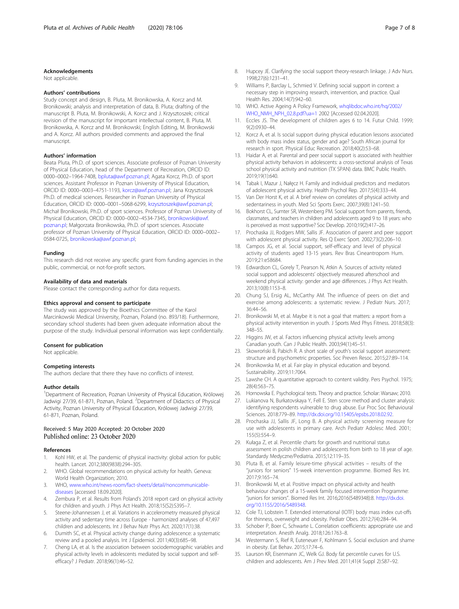#### <span id="page-6-0"></span>Acknowledgements

Not applicable.

#### Authors' contributions

Study concept and design, B. Pluta, M. Bronikowska, A. Korcz and M. Bronikowski; analysis and interpretation of data, B. Pluta; drafting of the manuscript B. Pluta, M. Bronikowski, A. Korcz and J. Krzysztoszek; critical revision of the manuscript for important intellectual content, B. Pluta, M. Bronikowska, A. Korcz and M. Bronikowski; English Editing, M. Bronikowski and A. Korcz. All authors provided comments and approved the final manuscript.

#### Authors' information

Beata Pluta, Ph.D. of sport sciences. Associate professor of Poznan University of Physical Education, head of the Department of Recreation, ORCID ID: 0000–0002–1964-7408, [bpluta@awf.poznan.pl](mailto:bpluta@awf.poznan.pl); Agata Korcz, Ph.D. of sport sciences. Assistant Professor in Poznan University of Physical Education, ORCID ID: 0000–0003–4751-1193, [korcz@awf.poznan.pl](mailto:korcz@awf.poznan.pl); Jana Krzysztoszek Ph.D. of medical sciences. Researcher in Poznan University of Physical Education, ORCID ID: 0000–0001–5068-6299, [krzysztoszek@awf.poznan.pl;](mailto:krzysztoszek@awf.poznan.pl) Michał Bronikowski, Ph.D. of sport sciences. Professor of Poznan University of Physical Education, ORCID ID: 0000–0002–4534-7345, [bronikowski@awf.](mailto:bronikowski@awf.poznan.pl) [poznan.pl;](mailto:bronikowski@awf.poznan.pl) Małgorzata Bronikowska, Ph.D. of sport sciences. Associate professor of Poznan University of Physical Education, ORCID ID: 0000–0002– 0584-0725, [bronikowska@awf.poznan.pl](mailto:bronikowska@awf.poznan.pl);

#### Funding

This research did not receive any specific grant from funding agencies in the public, commercial, or not-for-profit sectors.

#### Availability of data and materials

Please contact the corresponding author for data requests.

#### Ethics approval and consent to participate

The study was approved by the Bioethics Committee of the Karol Marcinkowski Medical University, Poznan, Poland (no. 893/18). Furthermore, secondary school students had been given adequate information about the purpose of the study. Individual personal information was kept confidentially.

#### Consent for publication

Not applicable.

#### Competing interests

The authors declare that there they have no conflicts of interest.

#### Author details

<sup>1</sup>Department of Recreation, Poznan University of Physical Education, Królowej Jadwigi 27/39, 61-871, Poznan, Poland. <sup>2</sup>Department of Didactics of Physical Activity, Poznan University of Physical Education, Królowej Jadwigi 27/39, 61-871, Poznan, Poland.

## Received: 5 May 2020 Accepted: 20 October 2020 Published online: 23 October 2020

#### References

- 1. Kohl HW, et al. The pandemic of physical inactivity: global action for public health. Lancet. 2012;380(9838):294–305.
- 2. WHO. Global recommendations on physical activity for health. Geneva: World Health Organization; 2010.
- 3. WHO, [www.who.int/news-room/fact-sheets/detail/noncommunicable](http://www.who.int/news-room/fact-sheets/detail/noncommunicable-diseases)[diseases](http://www.who.int/news-room/fact-sheets/detail/noncommunicable-diseases) [accessed 18.09.2020].
- 4. Zembura P, et al. Results from Poland's 2018 report card on physical activity for children and youth. J Phys Act Health. 2018;15(S2):S395–7.
- 5. Steene-Johannessen J, et al. Variations in accelerometry measured physical activity and sedentary time across Europe - harmonized analyses of 47,497 children and adolescents. Int J Behav Nutr Phys Act. 2020;17(1):38.
- 6. Dumith SC, et al. Physical activity change during adolescence: a systematic review and a pooled analysis. Int J Epidemiol. 2011;40(3):685–98.
- 7. Cheng LA, et al. Is the association between sociodemographic variables and physical activity levels in adolescents mediated by social support and selfefficacy? J Pediatr. 2018;96(1):46–52.
- 8. Hupcey JE. Clarifying the social support theory-research linkage. J Adv Nurs. 1998;27(6):1231–41.
- 9. Williams P, Barclay L, Schmied V. Defining social support in context: a necessary step in improving research, intervention, and practice. Qual Health Res. 2004;14(7):942–60.
- 10. WHO. Active Ageing A Policy Framework, [whqlibdoc.who.int/hq/2002/](http://whqlibdoc.who.int/hq/2002/WHO_NMH_NPH_02.8.pdf?ua=1) [WHO\\_NMH\\_NPH\\_02.8.pdf?ua=1](http://whqlibdoc.who.int/hq/2002/WHO_NMH_NPH_02.8.pdf?ua=1) 2002 [Accessed 02.04.2020].
- 11. Eccles JS. The development of children ages 6 to 14. Futur Child. 1999; 9(2):0930–44.
- 12. Korcz A, et al. Is social support during physical education lessons associated with body mass index status, gender and age? South African journal for research in sport. Physical Educ Recreation. 2018;40(2):53–68.
- 13. Haidar A, et al. Parental and peer social support is associated with healthier physical activity behaviors in adolescents: a cross-sectional analysis of Texas school physical activity and nutrition (TX SPAN) data. BMC Public Health. 2019;19(1):640.
- 14. Tabak I, Mazur J, Nałęcz H. Family and individual predictors and mediators of adolescent physical activity. Health Psychol Rep. 2017;5(4):333–44.
- 15. Van Der Horst K, et al. A brief review on correlates of physical activity and sedentariness in youth. Med Sci Sports Exerc. 2007;39(8):1241–50.
- 16. Bokhorst CL, Sumter SR, Westenberg PM. Social support from parents, friends, classmates, and teachers in children and adolescents aged 9 to 18 years: who is perceived as most supportive? Soc Develop. 2010;19(2):417–26.
- 17. Prochaska JJ, Rodgers MW, Sallis JF. Association of parent and peer support with adolescent physical activity. Res Q Exerc Sport. 2002;73(2):206–10.
- 18. Campos JG, et al. Social support, self-efficacy and level of physical activity of students aged 13-15 years. Rev Bras Cineantropom Hum. 2019;21:e58684.
- 19. Edwardson CL, Gorely T, Pearson N, Atkin A. Sources of activity related social support and adolescents' objectively measured afterschool and weekend physical activity: gender and age differences. J Phys Act Health. 2013;10(8):1153–8.
- 20. Chung SJ, Ersig AL, McCarthy AM. The influence of peers on diet and exercise among adolescents: a systematic review. J Pediatr Nurs. 2017; 36:44–56.
- 21. Bronikowski M, et al. Maybe it is not a goal that matters: a report from a physical activity intervention in youth. J Sports Med Phys Fitness. 2018;58(3): 348–55.
- 22. Higgins JW, et al. Factors influencing physical activity levels among Canadian youth. Can J Public Health. 2003;94(1):45–51.
- 23. Skowroński B, Pabich R. A short scale of youth's social support assessment: structure and psychometric properties. Soc Preven Resoc. 2015;27:89–114.
- 24. Bronikowska M, et al. Fair play in physical education and beyond. Sustainability. 2019;11:7064.
- 25. Lawshe CH. A quantitative approach to content validity. Pers Psychol. 1975; 28(4):563–75.
- 26. Hornowska E. Psychological tests. Theory and practice. Scholar: Warsaw; 2010.
- 27. Lukianova N, Burkatovskaya Y, Fell E. Sten score method and cluster analysis: identifying respondents vulnerable to drug abuse. Eur Proc Soc Behavioural Sciences. 2018:779–89. <http://dx.doi.org/10.15405/epsbs.2018.02.92>.
- 28. Prochaska JJ, Sallis JF, Long B. A physical activity screening measure for use with adolescents in primary care. Arch Pediatr Adolesc Med. 2001; 155(5):554–9.
- 29. Kułaga Z, et al. Percentile charts for growth and nutritional status assessment in polish children and adolescents from birth to 18 year of age. Standardy Medyczne/Pediatria. 2015;12:119–35.
- 30. Pluta B, et al. Family leisure-time physical activities results of the "juniors for seniors" 15-week intervention programme. Biomed Res Int. 2017;9:165–74.
- 31. Bronikowski M, et al. Positive impact on physical activity and health behaviour changes of a 15-week family focused intervention Programme: "juniors for seniors". Biomed Res Int. 2016;2016(5489348):8. [http://dx.doi.](http://dx.doi.org/10.1155/2016/5489348) [org/10.1155/2016/5489348](http://dx.doi.org/10.1155/2016/5489348).
- 32. Cole TJ, Lobstein T. Extended international (IOTF) body mass index cut-offs for thinness, overweight and obesity. Pediatr Obes. 2012;7(4):284–94.
- 33. Schober P, Boer C, Schwarte L. Correlation coefficients: appropriate use and interpretation. Anesth Analg. 2018;126:1763–8.
- 34. Westermann S, Rief R, Euteneuer F, Kohlmann S. Social exclusion and shame in obesity. Eat Behav. 2015;17:74–6.
- 35. Laurson KR, Eisenmann JC, Welk GJ. Body fat percentile curves for U.S. children and adolescents. Am J Prev Med. 2011;41(4 Suppl 2):S87–92.